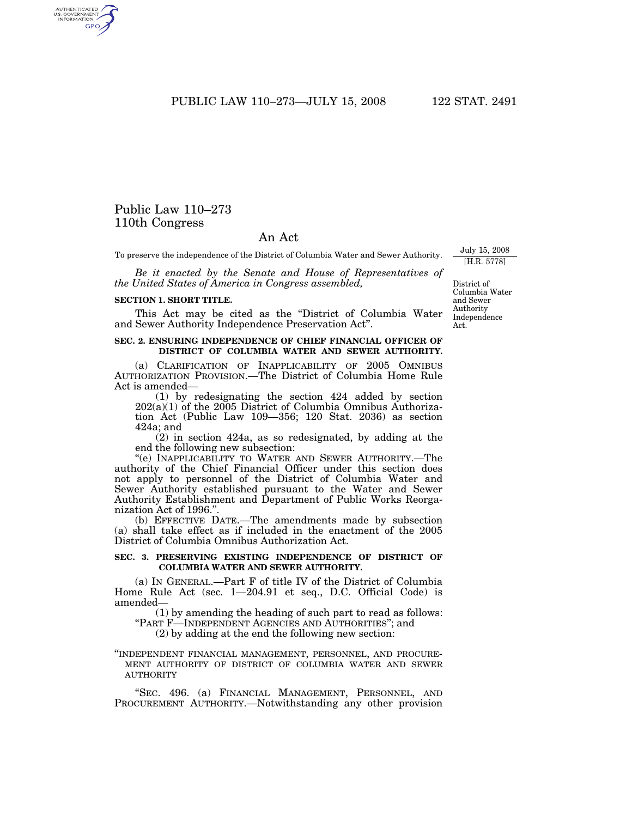PUBLIC LAW 110–273—JULY 15, 2008 122 STAT. 2491

# Public Law 110–273 110th Congress

# An Act

To preserve the independence of the District of Columbia Water and Sewer Authority.

*Be it enacted by the Senate and House of Representatives of the United States of America in Congress assembled,* 

#### **SECTION 1. SHORT TITLE.**

This Act may be cited as the "District of Columbia Water and Sewer Authority Independence Preservation Act''.

#### **SEC. 2. ENSURING INDEPENDENCE OF CHIEF FINANCIAL OFFICER OF DISTRICT OF COLUMBIA WATER AND SEWER AUTHORITY.**

(a) CLARIFICATION OF INAPPLICABILITY OF 2005 OMNIBUS AUTHORIZATION PROVISION.—The District of Columbia Home Rule Act is amended—

(1) by redesignating the section 424 added by section  $202(a)(1)$  of the  $2005$  District of Columbia Omnibus Authorization Act (Public Law 109—356; 120 Stat. 2036) as section 424a; and

(2) in section 424a, as so redesignated, by adding at the end the following new subsection:

"(e) INAPPLICABILITY TO WATER AND SEWER AUTHORITY.-The authority of the Chief Financial Officer under this section does not apply to personnel of the District of Columbia Water and Sewer Authority established pursuant to the Water and Sewer Authority Establishment and Department of Public Works Reorganization Act of 1996.''.

(b) EFFECTIVE DATE.—The amendments made by subsection (a) shall take effect as if included in the enactment of the 2005 District of Columbia Omnibus Authorization Act.

### **SEC. 3. PRESERVING EXISTING INDEPENDENCE OF DISTRICT OF COLUMBIA WATER AND SEWER AUTHORITY.**

(a) IN GENERAL.—Part F of title IV of the District of Columbia Home Rule Act (sec. 1—204.91 et seq., D.C. Official Code) is amended—

(1) by amending the heading of such part to read as follows: ''PART F—INDEPENDENT AGENCIES AND AUTHORITIES''; and

(2) by adding at the end the following new section:

''INDEPENDENT FINANCIAL MANAGEMENT, PERSONNEL, AND PROCURE-MENT AUTHORITY OF DISTRICT OF COLUMBIA WATER AND SEWER AUTHORITY

''SEC. 496. (a) FINANCIAL MANAGEMENT, PERSONNEL, AND PROCUREMENT AUTHORITY.—Notwithstanding any other provision

District of Columbia Water and Sewer Authority Independence Act.

July 15, 2008 [H.R. 5778]

AUTHENTICATED<br>U.S. GOVERNMENT<br>INFORMATION